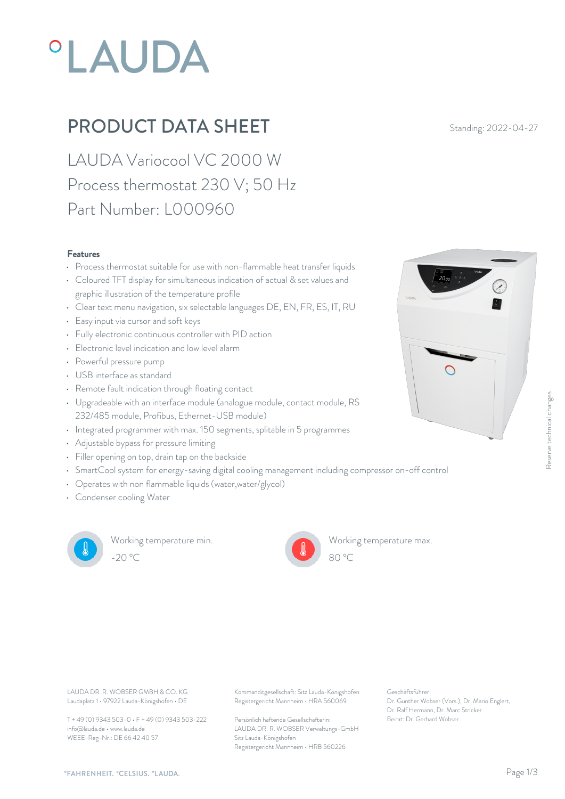# **°LAUDA**

### **PRODUCT DATA SHEET** Standing: 2022-04-27

LAUDA Variocool VC 2000 W Process thermostat 230 V; 50 Hz Part Number: L000960

#### Features

- Process thermostat suitable for use with non-flammable heat transfer liquids<br>Coloured TET disclous for simultaneous indication of octual Supervisions and
- Coloured TFT display for simultaneous indication of actual & set values and graphic illustration of the temperature profile
- Clear text menu navigation, six selectable languages DE, EN, FR, ES, IT, RU
- Easy input via cursor and soft keys
- Fully electronic continuous controller with PID action
- Electronic level indication and low level alarm
- Powerful pressure pump
- USB interface as standard
- Remote fault indication through floating contact
- Upgradeable with an interface module (analogue module, contact module, RS 232/485 module, Profibus, Ethernet-USB module)
- Integrated programmer with max. 150 segments, splitable in 5 programmes
- Adjustable bypass for pressure limiting
- Filler opening on top, drain tap on the backside
- SmartCool system for energy-saving digital cooling management including compressor on-off control
- Operates with non flammable liquids (water,water/glycol)
- Condenser cooling Water



Working temperature min. -20 °C 80 °C

Working temperature max.



Laudaplatz 1 • 97922 Lauda-Königshofen • DE

T + 49 (0) 9343 503-0 • F + 49 (0) 9343 503-222 info@lauda.de • www.lauda.de WEEE-Reg-Nr.: DE 66 42 40 57

LAUDA DR. R. WOBSER GMBH & CO. KG Kommanditgesellschaft: Sitz Lauda-Königshofen Geschäftsführer: Registergericht Mannheim • HRA 560069

> Persönlich haftende Gesellschafterin: Beirat: Dr. Gerhard Wobse LAUDA DR. R. WOBSER Verwaltungs-GmbH Sitz Lauda-Königshofen Registergericht Mannheim • HRB 560226

Geschäftsführer: Dr. Gunther Wobser (Vors.), Dr. Mario Englert, Dr. Ralf Hermann, Dr. Marc Stricker

80 °C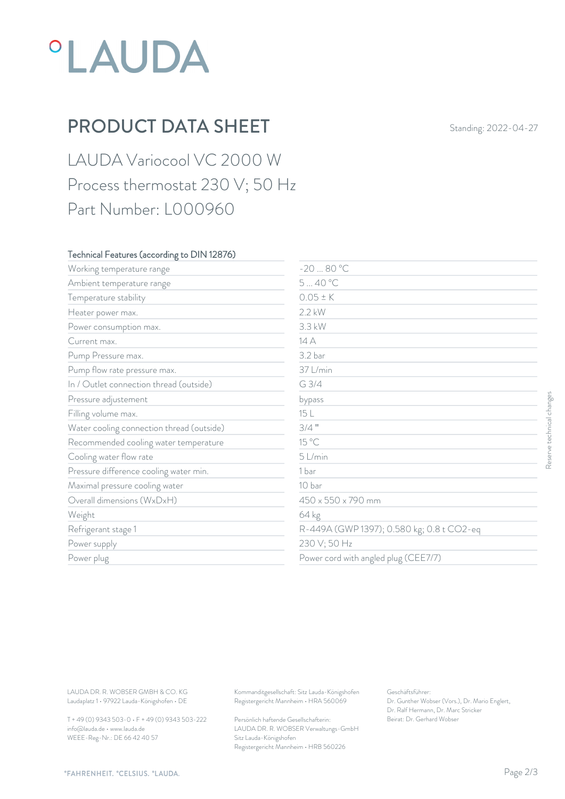## *°LAUDA*

## PRODUCT DATA SHEET Standing: 2022-04-27

LAUDA Variocool VC 2000 W Process thermostat 230 V; 50 Hz Part Number: L000960

#### Technical Features (according to DIN 12876)

| Working temperature range                                                        | $-2080 °C$                                                                             |                                                                                                           |                           |
|----------------------------------------------------------------------------------|----------------------------------------------------------------------------------------|-----------------------------------------------------------------------------------------------------------|---------------------------|
| Ambient temperature range                                                        | 540 °C                                                                                 |                                                                                                           |                           |
| Temperature stability                                                            | $0.05 \pm K$                                                                           |                                                                                                           |                           |
| Heater power max.                                                                | 2.2 kW                                                                                 |                                                                                                           |                           |
| Power consumption max.                                                           | 3.3 kW                                                                                 |                                                                                                           |                           |
| Current max.                                                                     | 14 A                                                                                   |                                                                                                           |                           |
| Pump Pressure max.                                                               | 3.2 bar                                                                                |                                                                                                           |                           |
| Pump flow rate pressure max.                                                     | 37 L/min                                                                               |                                                                                                           |                           |
| In / Outlet connection thread (outside)                                          | G 3/4                                                                                  |                                                                                                           |                           |
| Pressure adjustement                                                             | bypass                                                                                 |                                                                                                           |                           |
| Filling volume max.                                                              | 15 L                                                                                   |                                                                                                           |                           |
| Water cooling connection thread (outside)                                        | $3/4$ "                                                                                |                                                                                                           |                           |
| Recommended cooling water temperature                                            | 15 °C                                                                                  |                                                                                                           | Reserve technical changes |
| Cooling water flow rate                                                          | 5 L/min                                                                                |                                                                                                           |                           |
| Pressure difference cooling water min.                                           | 1 bar                                                                                  |                                                                                                           |                           |
| Maximal pressure cooling water                                                   | 10 bar                                                                                 |                                                                                                           |                           |
| Overall dimensions (WxDxH)                                                       | 450 x 550 x 790 mm                                                                     |                                                                                                           |                           |
| Weight                                                                           | 64 kg                                                                                  |                                                                                                           |                           |
| Refrigerant stage 1                                                              |                                                                                        | R-449A (GWP 1397); 0.580 kg; 0.8 t CO2-eq                                                                 |                           |
| Power supply                                                                     | 230 V; 50 Hz                                                                           |                                                                                                           |                           |
| Power plug                                                                       | Power cord with angled plug (CEE7/7)                                                   |                                                                                                           |                           |
|                                                                                  |                                                                                        |                                                                                                           |                           |
| LAUDA DR. R. WOBSER GMBH & CO. KG<br>Laudaplatz 1 · 97922 Lauda-Königshofen · DE | Kommanditgesellschaft: Sitz Lauda-Königshofen<br>Registergericht Mannheim · HRA 560069 | Geschäftsführer:<br>Dr. Gunther Wobser (Vors.), Dr. Mario Englert,<br>Dr. Ralf Hermann, Dr. Marc Stricker |                           |
| T + 49 (0) 9343 503-0 · F + 49 (0) 9343 503-222                                  | Persönlich haftende Gesellschafterin:                                                  | Beirat: Dr. Gerhard Wobser                                                                                |                           |

T + 49 (0) 9343 503-0 • F + 49 (0) 9343 503-222 info@lauda.de • www.lauda.de WEEE-Reg-Nr.: DE 66 42 40 57

> Persönlich haftende Gesellschafterin: Beirat: Dr. Gerhard Wobser LAUDA DR. R. WOBSER Verwaltungs-GmbH Sitz Lauda-Königshofen Registergericht Mannheim • HRB 560226